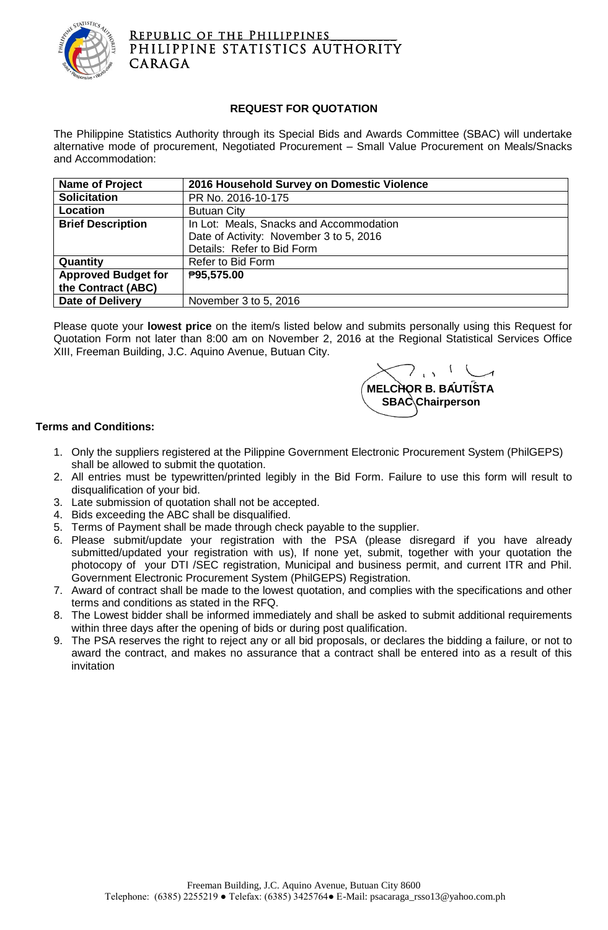

## REPUBLIC OF THE PHILIPPINES PHILIPPINE STATISTICS AUTHORITY CARAGA

## **REQUEST FOR QUOTATION**

The Philippine Statistics Authority through its Special Bids and Awards Committee (SBAC) will undertake alternative mode of procurement, Negotiated Procurement – Small Value Procurement on Meals/Snacks and Accommodation:

| <b>Name of Project</b>     | 2016 Household Survey on Domestic Violence |  |  |  |  |
|----------------------------|--------------------------------------------|--|--|--|--|
| <b>Solicitation</b>        | PR No. 2016-10-175                         |  |  |  |  |
| Location                   | <b>Butuan City</b>                         |  |  |  |  |
| <b>Brief Description</b>   | In Lot: Meals, Snacks and Accommodation    |  |  |  |  |
|                            | Date of Activity: November 3 to 5, 2016    |  |  |  |  |
|                            | Details: Refer to Bid Form                 |  |  |  |  |
| Quantity                   | Refer to Bid Form                          |  |  |  |  |
| <b>Approved Budget for</b> | ₱95,575.00                                 |  |  |  |  |
| the Contract (ABC)         |                                            |  |  |  |  |
| <b>Date of Delivery</b>    | November 3 to 5, 2016                      |  |  |  |  |

Please quote your **lowest price** on the item/s listed below and submits personally using this Request for Quotation Form not later than 8:00 am on November 2, 2016 at the Regional Statistical Services Office XIII, Freeman Building, J.C. Aquino Avenue, Butuan City.



## **Terms and Conditions:**

- 1. Only the suppliers registered at the Pilippine Government Electronic Procurement System (PhilGEPS) shall be allowed to submit the quotation.
- 2. All entries must be typewritten/printed legibly in the Bid Form. Failure to use this form will result to disqualification of your bid.
- 3. Late submission of quotation shall not be accepted.
- 4. Bids exceeding the ABC shall be disqualified.
- 5. Terms of Payment shall be made through check payable to the supplier.
- 6. Please submit/update your registration with the PSA (please disregard if you have already submitted/updated your registration with us), If none yet, submit, together with your quotation the photocopy of your DTI /SEC registration, Municipal and business permit, and current ITR and Phil. Government Electronic Procurement System (PhilGEPS) Registration.
- 7. Award of contract shall be made to the lowest quotation, and complies with the specifications and other terms and conditions as stated in the RFQ.
- 8. The Lowest bidder shall be informed immediately and shall be asked to submit additional requirements within three days after the opening of bids or during post qualification.
- 9. The PSA reserves the right to reject any or all bid proposals, or declares the bidding a failure, or not to award the contract, and makes no assurance that a contract shall be entered into as a result of this invitation